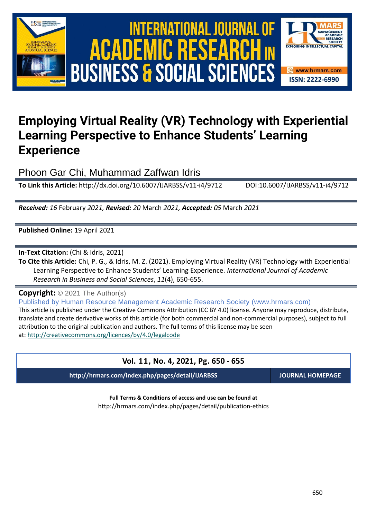

# International Journal of Academic Research in Business and Social Sciences **Vol. 1 1 , No. 4, 2021, E-ISSN: 2222-6990 © 2021 HRMARS ACADEMIC BUSINESS & SOCIAL SCIENCES**



## **Employing Virtual Reality (VR) Technology with Experiential Learning Perspective to Enhance Students' Learning Experience**

Phoon Gar Chi, Muhammad Zaffwan Idris

**To Link this Article:** http://dx.doi.org/10.6007/IJARBSS/v11-i4/9712 DOI:10.6007/IJARBSS/v11-i4/9712

*Received: 16* February *2021, Revised: 20* March *2021, Accepted: 05* March *2021*

**Published Online:** 19 April 2021

**In-Text Citation:** (Chi & Idris, 2021)

**To Cite this Article:** Chi, P. G., & Idris, M. Z. (2021). Employing Virtual Reality (VR) Technology with Experiential Learning Perspective to Enhance Students' Learning Experience. *International Journal of Academic Research in Business and Social Sciences*, *11*(4), 650-655.

**Copyright:** © 2021 The Author(s)

Published by Human Resource Management Academic Research Society (www.hrmars.com) This article is published under the Creative Commons Attribution (CC BY 4.0) license. Anyone may reproduce, distribute, translate and create derivative works of this article (for both commercial and non-commercial purposes), subject to full attribution to the original publication and authors. The full terms of this license may be seen at: <http://creativecommons.org/licences/by/4.0/legalcode>

### **Vol. 11, No. 4, 2021, Pg. 650 - 655**

**http://hrmars.com/index.php/pages/detail/IJARBSS JOURNAL HOMEPAGE**

**Full Terms & Conditions of access and use can be found at** http://hrmars.com/index.php/pages/detail/publication-ethics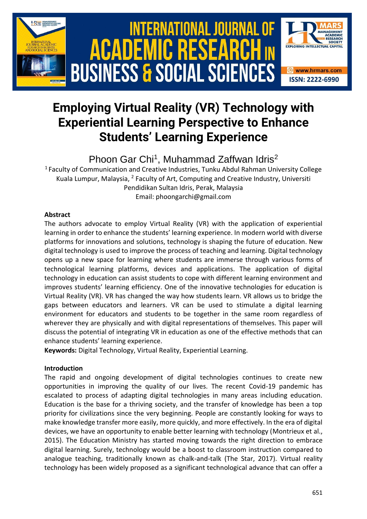

### **Employing Virtual Reality (VR) Technology with Experiential Learning Perspective to Enhance Students' Learning Experience**

Phoon Gar Chi<sup>1</sup>, Muhammad Zaffwan Idris<sup>2</sup>

<sup>1</sup> Faculty of Communication and Creative Industries, Tunku Abdul Rahman University College Kuala Lumpur, Malaysia, <sup>2</sup> Faculty of Art, Computing and Creative Industry, Universiti Pendidikan Sultan Idris, Perak, Malaysia Email: phoongarchi@gmail.com

#### **Abstract**

The authors advocate to employ Virtual Reality (VR) with the application of experiential learning in order to enhance the students' learning experience. In modern world with diverse platforms for innovations and solutions, technology is shaping the future of education. New digital technology is used to improve the process of teaching and learning. Digital technology opens up a new space for learning where students are immerse through various forms of technological learning platforms, devices and applications. The application of digital technology in education can assist students to cope with different learning environment and improves students' learning efficiency. One of the innovative technologies for education is Virtual Reality (VR). VR has changed the way how students learn. VR allows us to bridge the gaps between educators and learners. VR can be used to stimulate a digital learning environment for educators and students to be together in the same room regardless of wherever they are physically and with digital representations of themselves. This paper will discuss the potential of integrating VR in education as one of the effective methods that can enhance students' learning experience.

**Keywords:** Digital Technology, Virtual Reality, Experiential Learning.

#### **Introduction**

The rapid and ongoing development of digital technologies continues to create new opportunities in improving the quality of our lives. The recent Covid-19 pandemic has escalated to process of adapting digital technologies in many areas including education. Education is the base for a thriving society, and the transfer of knowledge has been a top priority for civilizations since the very beginning. People are constantly looking for ways to make knowledge transfer more easily, more quickly, and more effectively. In the era of digital devices, we have an opportunity to enable better learning with technology (Montrieux et al., 2015). The Education Ministry has started moving towards the right direction to embrace digital learning. Surely, technology would be a boost to classroom instruction compared to analogue teaching, traditionally known as chalk-and-talk (The Star, 2017). Virtual reality technology has been widely proposed as a significant technological advance that can offer a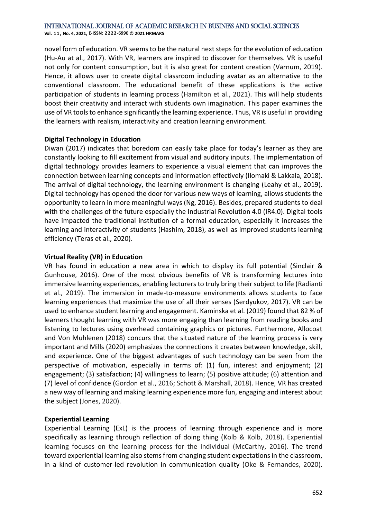#### International Journal of Academic Research in Business and Social Sciences

**Vol. 1 1 , No. 4, 2021, E-ISSN: 2222-6990 © 2021 HRMARS**

novel form of education. VR seems to be the natural next steps for the evolution of education (Hu-Au at al., 2017). With VR, learners are inspired to discover for themselves. VR is useful not only for content consumption, but it is also great for content creation (Varnum, 2019). Hence, it allows user to create digital classroom including avatar as an alternative to the conventional classroom. The educational benefit of these applications is the active participation of students in learning process (Hamilton et al., 2021). This will help students boost their creativity and interact with students own imagination. This paper examines the use of VR tools to enhance significantly the learning experience. Thus, VR is useful in providing the learners with realism, interactivity and creation learning environment.

#### **Digital Technology in Education**

Diwan (2017) indicates that boredom can easily take place for today's learner as they are constantly looking to fill excitement from visual and auditory inputs. The implementation of digital technology provides learners to experience a visual element that can improves the connection between learning concepts and information effectively (Ilomaki & Lakkala, 2018). The arrival of digital technology, the learning environment is changing (Leahy et al., 2019). Digital technology has opened the door for various new ways of learning, allows students the opportunity to learn in more meaningful ways (Ng, 2016). Besides, prepared students to deal with the challenges of the future especially the Industrial Revolution 4.0 (IR4.0). Digital tools have impacted the traditional institution of a formal education, especially it increases the learning and interactivity of students (Hashim, 2018), as well as improved students learning efficiency (Teras et al., 2020).

#### **Virtual Reality (VR) in Education**

VR has found in education a new area in which to display its full potential (Sinclair & Gunhouse, 2016). One of the most obvious benefits of VR is transforming lectures into immersive learning experiences, enabling lecturers to truly bring their subject to life (Radianti et al., 2019). The immersion in made-to-measure environments allows students to face learning experiences that maximize the use of all their senses (Serdyukov, 2017). VR can be used to enhance student learning and engagement. Kaminska et al. (2019) found that 82 % of learners thought learning with VR was more engaging than learning from reading books and listening to lectures using overhead containing graphics or pictures. Furthermore, Allocoat and Von Muhlenen (2018) concurs that the situated nature of the learning process is very important and Mills (2020) emphasizes the connections it creates between knowledge, skill, and experience. One of the biggest advantages of such technology can be seen from the perspective of motivation, especially in terms of: (1) fun, interest and enjoyment; (2) engagement; (3) satisfaction; (4) willingness to learn; (5) positive attitude; (6) attention and (7) level of confidence (Gordon et al., 2016; Schott & Marshall, 2018). Hence, VR has created a new way of learning and making learning experience more fun, engaging and interest about the subject (Jones, 2020).

#### **Experiential Learning**

Experiential Learning (ExL) is the process of learning through experience and is more specifically as learning through reflection of doing thing (Kolb & Kolb, 2018). Experiential learning focuses on the learning process for the individual (McCarthy, 2016). The trend toward experiential learning also stems from changing student expectations in the classroom, in a kind of customer-led revolution in communication quality (Oke & Fernandes, 2020).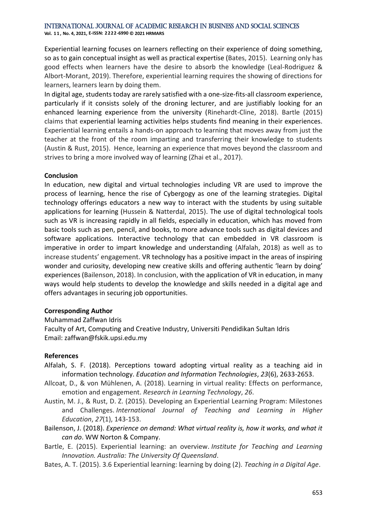#### International Journal of Academic Research in Business and Social Sciences

**Vol. 1 1 , No. 4, 2021, E-ISSN: 2222-6990 © 2021 HRMARS**

Experiential learning focuses on learners reflecting on their experience of doing something, so as to gain conceptual insight as well as practical expertise (Bates, 2015). Learning only has good effects when learners have the desire to absorb the knowledge (Leal-Rodriguez & Albort-Morant, 2019). Therefore, experiential learning requires the showing of directions for learners, learners learn by doing them.

In digital age, students today are rarely satisfied with a one-size-fits-all classroom experience, particularly if it consists solely of the droning lecturer, and are justifiably looking for an enhanced learning experience from the university (Rinehardt-Cline, 2018). Bartle (2015) claims that experiential learning activities helps students find meaning in their experiences. Experiential learning entails a hands-on approach to learning that moves away from just the teacher at the front of the room imparting and transferring their knowledge to students (Austin & Rust, 2015). Hence, learning an experience that moves beyond the classroom and strives to bring a more involved way of learning (Zhai et al., 2017).

#### **Conclusion**

In education, new digital and virtual technologies including VR are used to improve the process of learning, hence the rise of Cybergogy as one of the learning strategies. Digital technology offerings educators a new way to interact with the students by using suitable applications for learning (Hussein & Natterdal, 2015). The use of digital technological tools such as VR is increasing rapidly in all fields, especially in education, which has moved from basic tools such as pen, pencil, and books, to more advance tools such as digital devices and software applications. Interactive technology that can embedded in VR classroom is imperative in order to impart knowledge and understanding (Alfalah, 2018) as well as to increase students' engagement. VR technology has a positive impact in the areas of inspiring wonder and curiosity, developing new creative skills and offering authentic 'learn by doing' experiences (Bailenson, 2018). In conclusion, with the application of VR in education, in many ways would help students to develop the knowledge and skills needed in a digital age and offers advantages in securing job opportunities.

#### **Corresponding Author**

Muhammad Zaffwan Idris

Faculty of Art, Computing and Creative Industry, Universiti Pendidikan Sultan Idris Email: zaffwan@fskik.upsi.edu.my

#### **References**

- Alfalah, S. F. (2018). Perceptions toward adopting virtual reality as a teaching aid in information technology. *Education and Information Technologies*, *23*(6), 2633-2653.
- Allcoat, D., & von Mühlenen, A. (2018). Learning in virtual reality: Effects on performance, emotion and engagement. *Research in Learning Technology*, *26*.
- Austin, M. J., & Rust, D. Z. (2015). Developing an Experiential Learning Program: Milestones and Challenges. *International Journal of Teaching and Learning in Higher Education*, *27*(1), 143-153.
- Bailenson, J. (2018). *Experience on demand: What virtual reality is, how it works, and what it can do*. WW Norton & Company.
- Bartle, E. (2015). Experiential learning: an overview. *Institute for Teaching and Learning Innovation. Australia: The University Of Queensland*.
- Bates, A. T. (2015). 3.6 Experiential learning: learning by doing (2). *Teaching in a Digital Age*.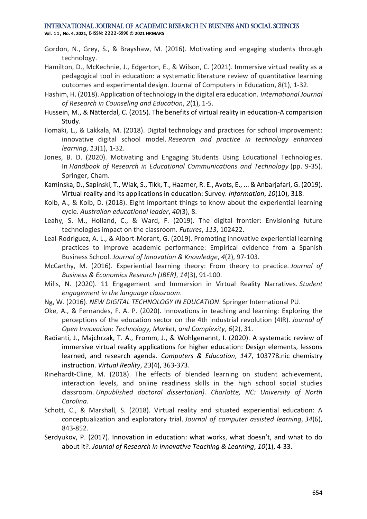#### International Journal of Academic Research in Business and Social Sciences

**Vol. 1 1 , No. 4, 2021, E-ISSN: 2222-6990 © 2021 HRMARS**

- Gordon, N., Grey, S., & Brayshaw, M. (2016). Motivating and engaging students through technology.
- Hamilton, D., McKechnie, J., Edgerton, E., & Wilson, C. (2021). Immersive virtual reality as a pedagogical tool in education: a systematic literature review of quantitative learning outcomes and experimental design. Journal of Computers in Education, 8(1), 1-32.
- Hashim, H. (2018). Application of technology in the digital era education. *International Journal of Research in Counseling and Education*, *2*(1), 1-5.
- Hussein, M., & Nätterdal, C. (2015). The benefits of virtual reality in education-A comparision Study.
- Ilomäki, L., & Lakkala, M. (2018). Digital technology and practices for school improvement: innovative digital school model. *Research and practice in technology enhanced learning*, *13*(1), 1-32.
- Jones, B. D. (2020). Motivating and Engaging Students Using Educational Technologies. In *Handbook of Research in Educational Communications and Technology* (pp. 9-35). Springer, Cham.
- Kaminska, D., Sapinski, T., Wiak, S., Tikk, T., Haamer, R. E., Avots, E., ... & Anbarjafari, G. (2019). Virtual reality and its applications in education: Survey. *Information*, *10*(10), 318.
- Kolb, A., & Kolb, D. (2018). Eight important things to know about the experiential learning cycle. *Australian educational leader*, *40*(3), 8.
- Leahy, S. M., Holland, C., & Ward, F. (2019). The digital frontier: Envisioning future technologies impact on the classroom. *Futures*, *113*, 102422.
- Leal-Rodriguez, A. L., & Albort-Morant, G. (2019). Promoting innovative experiential learning practices to improve academic performance: Empirical evidence from a Spanish Business School. *Journal of Innovation & Knowledge*, *4*(2), 97-103.
- McCarthy, M. (2016). Experiential learning theory: From theory to practice. *Journal of Business & Economics Research (JBER)*, *14*(3), 91-100.
- Mills, N. (2020). 11 Engagement and Immersion in Virtual Reality Narratives. *Student engagement in the language classroom*.
- Ng, W. (2016). *NEW DIGITAL TECHNOLOGY IN EDUCATION*. Springer International PU.
- Oke, A., & Fernandes, F. A. P. (2020). Innovations in teaching and learning: Exploring the perceptions of the education sector on the 4th industrial revolution (4IR). *Journal of Open Innovation: Technology, Market, and Complexity*, *6*(2), 31.
- Radianti, J., Majchrzak, T. A., Fromm, J., & Wohlgenannt, I. (2020). A systematic review of immersive virtual reality applications for higher education: Design elements, lessons learned, and research agenda. *Computers & Education*, *147*, 103778.nic chemistry instruction. *Virtual Reality*, *23*(4), 363-373.
- Rinehardt-Cline, M. (2018). The effects of blended learning on student achievement, interaction levels, and online readiness skills in the high school social studies classroom. *Unpublished doctoral dissertation). Charlotte, NC: University of North Carolina*.
- Schott, C., & Marshall, S. (2018). Virtual reality and situated experiential education: A conceptualization and exploratory trial. *Journal of computer assisted learning*, *34*(6), 843-852.
- Serdyukov, P. (2017). Innovation in education: what works, what doesn't, and what to do about it?. *Journal of Research in Innovative Teaching & Learning*, *10*(1), 4-33.